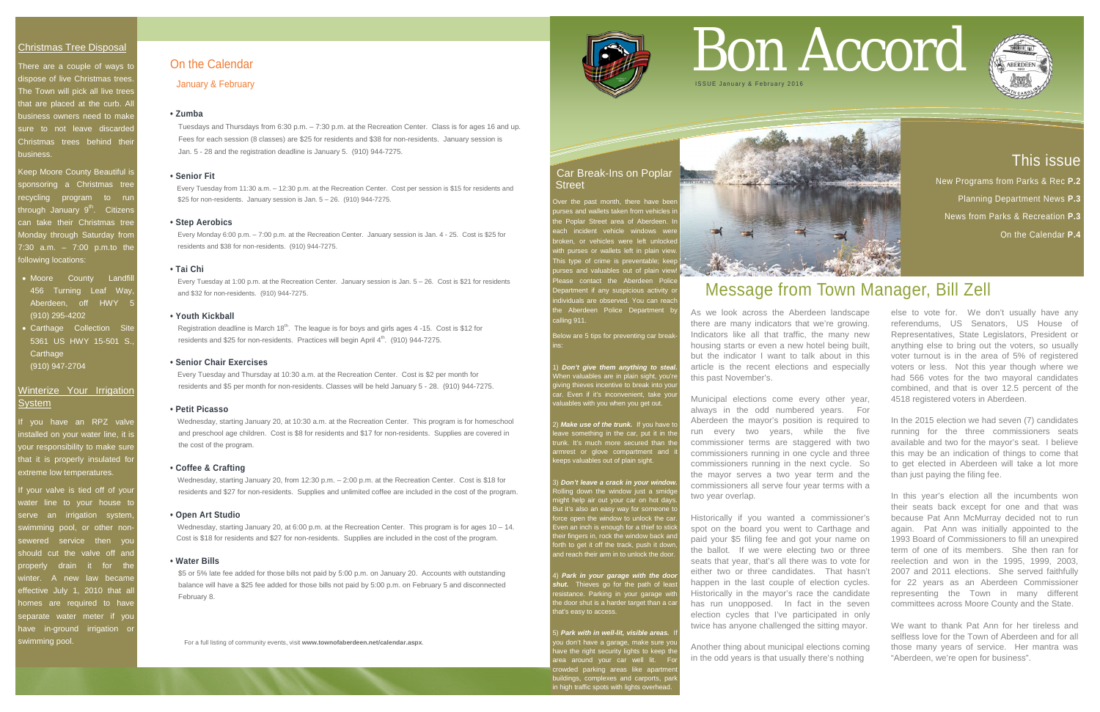# This issue

New Programs from Parks & Rec **P.2**  Planning Department News **P.3** News from Parks & Recreation **P.3** On the Calendar **P.4**

#### Christmas Tree Disposal

There are a couple of ways to dispose of live Christmas trees. The Town will pick all live trees that are placed at the curb. Al business owners need to make sure to not leave discarded Christmas trees behind their business.

f you have an RPZ valve installed on your water line, it is your responsibility to make sure that it is properly insulated for extreme low temperatures.

Keep Moore County Beautiful is sponsoring a Christmas tree recycling program to run through January 9<sup>th</sup>. Citizens can take their Christmas tree Monday through Saturday from 7:30 a.m. – 7:00 p.m.to the following locations:

# Car Break-Ins on Poplar **Street**

Over the past month, there have been urses and wallets taken from vehicles i ne Poplar Street area of Aberdeen. In each incident vehicle windows were broken, or vehicles were left unlocked with purses or wallets left in plain view. his type of crime is preventable; kee urses and valuables out of plain view ease contact the Aberdeen Police epartment if any suspicious activity o ndividuals are observed. You can reach he Aberdeen Police Department by alling 911.

- Moore County Landfill 456 Turning Leaf Way, Aberdeen, off HWY (910) 295-4202
- Carthage Collection Site 5361 US HWY 15-501 S., **Carthage** (910) 947-2704

# Winterize Your Irrigation **System**

Below are 5 tips for preventing car break ins:

**Don't give them anything to steal.** When valuables are in plain sight, you're iving thieves incentive to break into you car. Even if it's inconvenient, take your valuables with you when you get out.

If your valve is tied off of your vater line to your house to serve an irrigation system, swimming pool, or other nonsewered service then you should cut the valve off and properly drain it for the winter. A new law became effective July 1, 2010 that all homes are required to have separate water meter if you have in-ground irrigation or swimming pool.

**Park in your garage with the door** *shut.* Thieves go for the path of leas resistance. Parking in your garage with the door shut is a harder target than a car that's easy to access.

5) Park with in well-lit, visible areas. you don't have a garage, make sure you ave the right security lights to keep th rea around your car well lit. Fo crowded parking areas like apartment buildings, complexes and carports, park in high traffic spots with lights overhead.



2) *Make use of the trunk.* If you have to ave something in the car, put it in the unk. It's much more secured than the armrest or glove compartment and it keeps valuables out of plain sight.

3) *Don't leave a crack in your window.* Rolling down the window just a smidge might help air out your car on hot days. But it's also an easy way for someone t brce open the window to unlock the car. Even an inch is enough for a thief to stick their fingers in, rock the window back and forth to get it off the track, push it down, and reach their arm in to unlock the door.

For a full listing of community events, visit **www.townofaberdeen.net/calendar.aspx**.



# On the Calendar

January & February

#### **• Zumba**

Tuesdays and Thursdays from 6:30 p.m. – 7:30 p.m. at the Recreation Center. Class is for ages 16 and up. Fees for each session (8 classes) are \$25 for residents and \$38 for non-residents. January session is Jan. 5 - 28 and the registration deadline is January 5. (910) 944-7275.

#### **• Senior Fit**

Every Tuesday from 11:30 a.m. – 12:30 p.m. at the Recreation Center. Cost per session is \$15 for residents and \$25 for non-residents. January session is Jan. 5 – 26. (910) 944-7275.

#### **• Step Aerobics**

 Every Monday 6:00 p.m. – 7:00 p.m. at the Recreation Center. January session is Jan. 4 - 25. Cost is \$25 for residents and \$38 for non-residents. (910) 944-7275.

#### **• Tai Chi**

 Every Tuesday at 1:00 p.m. at the Recreation Center. January session is Jan. 5 – 26. Cost is \$21 for residents and \$32 for non-residents. (910) 944-7275.

#### **• Youth Kickball**

Registration deadline is March  $18^{th}$ . The league is for boys and girls ages 4 -15. Cost is \$12 for residents and \$25 for non-residents. Practices will begin April 4<sup>th</sup>. (910) 944-7275.

#### **• Senior Chair Exercises**

Every Tuesday and Thursday at 10:30 a.m. at the Recreation Center. Cost is \$2 per month for residents and \$5 per month for non-residents. Classes will be held January 5 - 28. (910) 944-7275.

#### **• Petit Picasso**

Wednesday, starting January 20, at 10:30 a.m. at the Recreation Center. This program is for homeschool and preschool age children. Cost is \$8 for residents and \$17 for non-residents. Supplies are covered in the cost of the program.

#### **• Coffee & Crafting**

Wednesday, starting January 20, from 12:30 p.m. – 2:00 p.m. at the Recreation Center. Cost is \$18 for residents and \$27 for non-residents. Supplies and unlimited coffee are included in the cost of the program.

#### **• Open Art Studio**

Wednesday, starting January 20, at 6:00 p.m. at the Recreation Center. This program is for ages 10 – 14. Cost is \$18 for residents and \$27 for non-residents. Supplies are included in the cost of the program.

#### **• Water Bills**

\$5 or 5% late fee added for those bills not paid by 5:00 p.m. on January 20. Accounts with outstanding balance will have a \$25 fee added for those bills not paid by 5:00 p.m. on February 5 and disconnected February 8.

# Bon Accord



# Message from Town Manager, Bill Zell

As we look across the Aberdeen landscape there are many indicators that we're growing. Indicators like all that traffic, the many new housing starts or even a new hotel being built, but the indicator I want to talk about in this article is the recent elections and especially this past November's.

Municipal elections come every other year, always in the odd numbered years. For Aberdeen the mayor's position is required to run every two years, while the five commissioner terms are staggered with two commissioners running in one cycle and three commissioners running in the next cycle. So the mayor serves a two year term and the commissioners all serve four year terms with a two year overlap.

Historically if you wanted a commissioner's spot on the board you went to Carthage and paid your \$5 filing fee and got your name on the ballot. If we were electing two or three seats that year, that's all there was to vote for either two or three candidates. That hasn't happen in the last couple of election cycles. Historically in the mayor's race the candidate has run unopposed. In fact in the seven election cycles that I've participated in only twice has anyone challenged the sitting mayor.

Another thing about municipal elections coming in the odd years is that usually there's nothing

else to vote for. We don't usually have any referendums, US Senators, US House of Representatives, State Legislators, President or anything else to bring out the voters, so usually voter turnout is in the area of 5% of registered voters or less. Not this year though where we had 566 votes for the two mayoral candidates combined, and that is over 12.5 percent of the 4518 registered voters in Aberdeen.

In the 2015 election we had seven (7) candidates running for the three commissioners seats available and two for the mayor's seat. I believe this may be an indication of things to come that to get elected in Aberdeen will take a lot more than just paying the filing fee.

In this year's election all the incumbents won their seats back except for one and that was because Pat Ann McMurray decided not to run again. Pat Ann was initially appointed to the 1993 Board of Commissioners to fill an unexpired term of one of its members. She then ran for reelection and won in the 1995, 1999, 2003, 2007 and 2011 elections. She served faithfully for 22 years as an Aberdeen Commissioner representing the Town in many different committees across Moore County and the State.

We want to thank Pat Ann for her tireless and selfless love for the Town of Aberdeen and for all those many years of service. Her mantra was "Aberdeen, we're open for business".